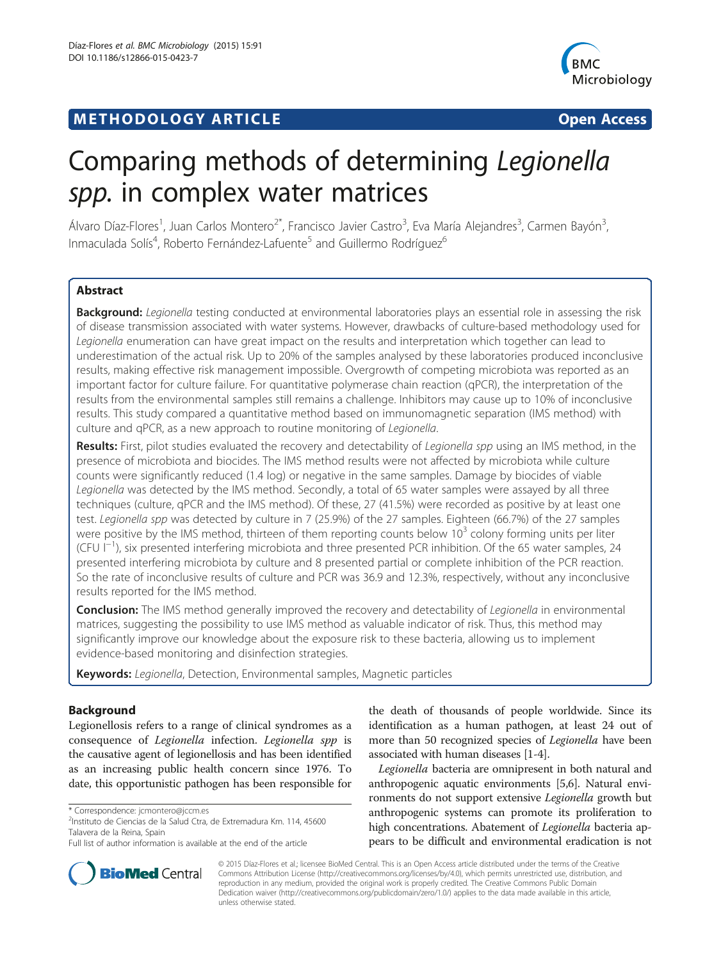# **METHODOLOGY ARTICLE CONSUMING A RESERVE AND LOGISTIC AND LOGISTIC ACCESS**



# Comparing methods of determining Legionella spp. in complex water matrices

Álvaro Díaz-Flores<sup>1</sup>, Juan Carlos Montero<sup>2\*</sup>, Francisco Javier Castro<sup>3</sup>, Eva María Alejandres<sup>3</sup>, Carmen Bayón<sup>3</sup> , Inmaculada Solís<sup>4</sup>, Roberto Fernández-Lafuente<sup>5</sup> and Guillermo Rodríguez<sup>6</sup>

# Abstract

Background: Legionella testing conducted at environmental laboratories plays an essential role in assessing the risk of disease transmission associated with water systems. However, drawbacks of culture-based methodology used for Legionella enumeration can have great impact on the results and interpretation which together can lead to underestimation of the actual risk. Up to 20% of the samples analysed by these laboratories produced inconclusive results, making effective risk management impossible. Overgrowth of competing microbiota was reported as an important factor for culture failure. For quantitative polymerase chain reaction (qPCR), the interpretation of the results from the environmental samples still remains a challenge. Inhibitors may cause up to 10% of inconclusive results. This study compared a quantitative method based on immunomagnetic separation (IMS method) with culture and qPCR, as a new approach to routine monitoring of Legionella.

Results: First, pilot studies evaluated the recovery and detectability of Legionella spp using an IMS method, in the presence of microbiota and biocides. The IMS method results were not affected by microbiota while culture counts were significantly reduced (1.4 log) or negative in the same samples. Damage by biocides of viable Legionella was detected by the IMS method. Secondly, a total of 65 water samples were assayed by all three techniques (culture, qPCR and the IMS method). Of these, 27 (41.5%) were recorded as positive by at least one test. Legionella spp was detected by culture in 7 (25.9%) of the 27 samples. Eighteen (66.7%) of the 27 samples were positive by the IMS method, thirteen of them reporting counts below  $10<sup>3</sup>$  colony forming units per liter (CFU l−<sup>1</sup> ), six presented interfering microbiota and three presented PCR inhibition. Of the 65 water samples, 24 presented interfering microbiota by culture and 8 presented partial or complete inhibition of the PCR reaction. So the rate of inconclusive results of culture and PCR was 36.9 and 12.3%, respectively, without any inconclusive results reported for the IMS method.

**Conclusion:** The IMS method generally improved the recovery and detectability of Legionella in environmental matrices, suggesting the possibility to use IMS method as valuable indicator of risk. Thus, this method may significantly improve our knowledge about the exposure risk to these bacteria, allowing us to implement evidence-based monitoring and disinfection strategies.

Keywords: Legionella, Detection, Environmental samples, Magnetic particles

## Background

Legionellosis refers to a range of clinical syndromes as a consequence of Legionella infection. Legionella spp is the causative agent of legionellosis and has been identified as an increasing public health concern since 1976. To date, this opportunistic pathogen has been responsible for



Legionella bacteria are omnipresent in both natural and anthropogenic aquatic environments [[5,6](#page-8-0)]. Natural environments do not support extensive Legionella growth but anthropogenic systems can promote its proliferation to high concentrations. Abatement of *Legionella* bacteria appears to be difficult and environmental eradication is not



© 2015 Díaz-Flores et al.; licensee BioMed Central. This is an Open Access article distributed under the terms of the Creative Commons Attribution License [\(http://creativecommons.org/licenses/by/4.0\)](http://creativecommons.org/licenses/by/4.0), which permits unrestricted use, distribution, and reproduction in any medium, provided the original work is properly credited. The Creative Commons Public Domain Dedication waiver [\(http://creativecommons.org/publicdomain/zero/1.0/](http://creativecommons.org/publicdomain/zero/1.0/)) applies to the data made available in this article, unless otherwise stated.

<sup>\*</sup> Correspondence: [jcmontero@jccm.es](mailto:jcmontero@jccm.es) <sup>2</sup>

 $2$ Instituto de Ciencias de la Salud Ctra, de Extremadura Km. 114, 45600 Talavera de la Reina, Spain

Full list of author information is available at the end of the article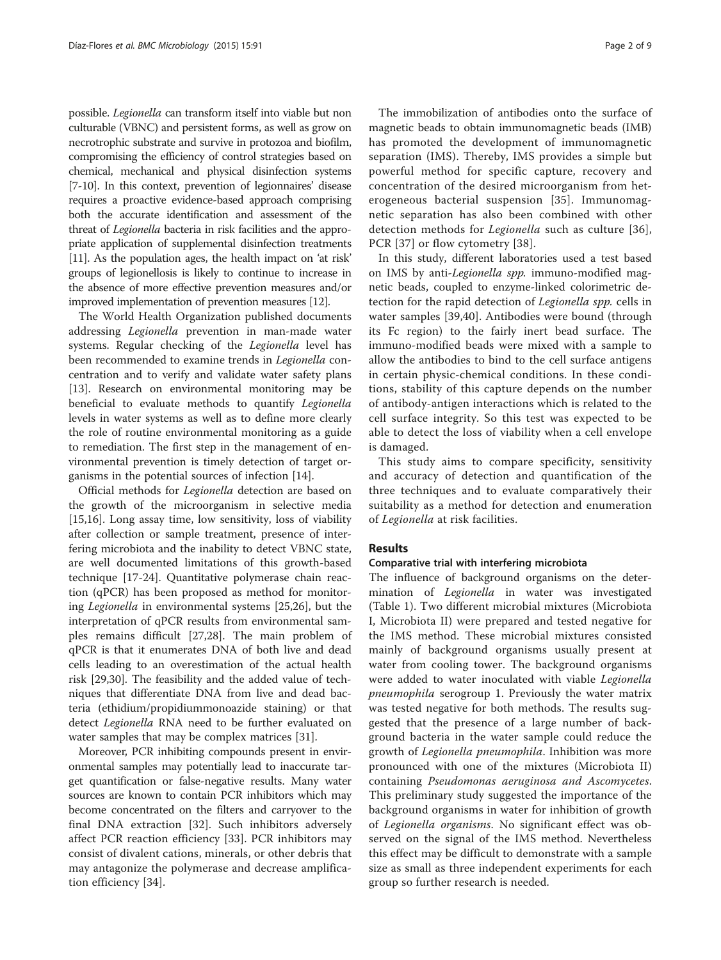possible. Legionella can transform itself into viable but non culturable (VBNC) and persistent forms, as well as grow on necrotrophic substrate and survive in protozoa and biofilm, compromising the efficiency of control strategies based on chemical, mechanical and physical disinfection systems [[7](#page-8-0)-[10](#page-8-0)]. In this context, prevention of legionnaires' disease requires a proactive evidence-based approach comprising both the accurate identification and assessment of the threat of Legionella bacteria in risk facilities and the appropriate application of supplemental disinfection treatments [[11](#page-8-0)]. As the population ages, the health impact on 'at risk' groups of legionellosis is likely to continue to increase in the absence of more effective prevention measures and/or improved implementation of prevention measures [[12\]](#page-8-0).

The World Health Organization published documents addressing Legionella prevention in man-made water systems. Regular checking of the Legionella level has been recommended to examine trends in Legionella concentration and to verify and validate water safety plans [[13\]](#page-8-0). Research on environmental monitoring may be beneficial to evaluate methods to quantify Legionella levels in water systems as well as to define more clearly the role of routine environmental monitoring as a guide to remediation. The first step in the management of environmental prevention is timely detection of target organisms in the potential sources of infection [[14](#page-8-0)].

Official methods for Legionella detection are based on the growth of the microorganism in selective media [[15,16\]](#page-8-0). Long assay time, low sensitivity, loss of viability after collection or sample treatment, presence of interfering microbiota and the inability to detect VBNC state, are well documented limitations of this growth-based technique [[17-24\]](#page-8-0). Quantitative polymerase chain reaction (qPCR) has been proposed as method for monitoring Legionella in environmental systems [[25,26\]](#page-8-0), but the interpretation of qPCR results from environmental samples remains difficult [[27,28\]](#page-8-0). The main problem of qPCR is that it enumerates DNA of both live and dead cells leading to an overestimation of the actual health risk [\[29,30](#page-8-0)]. The feasibility and the added value of techniques that differentiate DNA from live and dead bacteria (ethidium/propidiummonoazide staining) or that detect Legionella RNA need to be further evaluated on water samples that may be complex matrices [\[31\]](#page-8-0).

Moreover, PCR inhibiting compounds present in environmental samples may potentially lead to inaccurate target quantification or false-negative results. Many water sources are known to contain PCR inhibitors which may become concentrated on the filters and carryover to the final DNA extraction [\[32](#page-8-0)]. Such inhibitors adversely affect PCR reaction efficiency [[33\]](#page-8-0). PCR inhibitors may consist of divalent cations, minerals, or other debris that may antagonize the polymerase and decrease amplification efficiency [\[34](#page-8-0)].

The immobilization of antibodies onto the surface of magnetic beads to obtain immunomagnetic beads (IMB) has promoted the development of immunomagnetic separation (IMS). Thereby, IMS provides a simple but powerful method for specific capture, recovery and concentration of the desired microorganism from heterogeneous bacterial suspension [\[35\]](#page-8-0). Immunomagnetic separation has also been combined with other detection methods for Legionella such as culture [[36](#page-8-0)], PCR [[37\]](#page-8-0) or flow cytometry [[38](#page-8-0)].

In this study, different laboratories used a test based on IMS by anti-Legionella spp. immuno-modified magnetic beads, coupled to enzyme-linked colorimetric detection for the rapid detection of Legionella spp. cells in water samples [\[39,40](#page-8-0)]. Antibodies were bound (through its Fc region) to the fairly inert bead surface. The immuno-modified beads were mixed with a sample to allow the antibodies to bind to the cell surface antigens in certain physic-chemical conditions. In these conditions, stability of this capture depends on the number of antibody-antigen interactions which is related to the cell surface integrity. So this test was expected to be able to detect the loss of viability when a cell envelope is damaged.

This study aims to compare specificity, sensitivity and accuracy of detection and quantification of the three techniques and to evaluate comparatively their suitability as a method for detection and enumeration of Legionella at risk facilities.

#### Results

### Comparative trial with interfering microbiota

The influence of background organisms on the determination of Legionella in water was investigated (Table [1\)](#page-2-0). Two different microbial mixtures (Microbiota I, Microbiota II) were prepared and tested negative for the IMS method. These microbial mixtures consisted mainly of background organisms usually present at water from cooling tower. The background organisms were added to water inoculated with viable Legionella pneumophila serogroup 1. Previously the water matrix was tested negative for both methods. The results suggested that the presence of a large number of background bacteria in the water sample could reduce the growth of Legionella pneumophila. Inhibition was more pronounced with one of the mixtures (Microbiota II) containing Pseudomonas aeruginosa and Ascomycetes. This preliminary study suggested the importance of the background organisms in water for inhibition of growth of Legionella organisms. No significant effect was observed on the signal of the IMS method. Nevertheless this effect may be difficult to demonstrate with a sample size as small as three independent experiments for each group so further research is needed.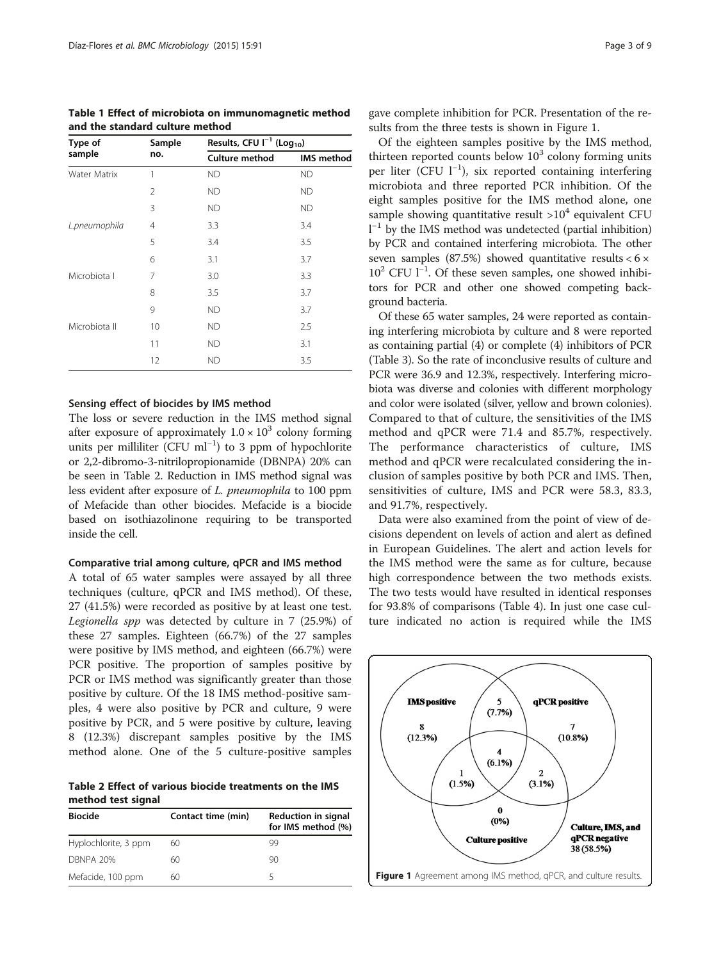<span id="page-2-0"></span>Table 1 Effect of microbiota on immunomagnetic method and the standard culture method

| Type of       | Sample         | Results, CFU $I^{-1}$ (Log <sub>10</sub> ) |                   |  |
|---------------|----------------|--------------------------------------------|-------------------|--|
| sample        | no.            | Culture method                             | <b>IMS</b> method |  |
| Water Matrix  | 1              | ΝD                                         | <b>ND</b>         |  |
|               | $\overline{2}$ | ΝD                                         | <b>ND</b>         |  |
|               | 3              | ΝD                                         | <b>ND</b>         |  |
| L.pneumophila | $\overline{4}$ | 3.3                                        | 3.4               |  |
|               | 5              | 3.4                                        | 3.5               |  |
|               | 6              | 3.1                                        | 3.7               |  |
| Microbiota I  | 7              | 3.0                                        | 3.3               |  |
|               | 8              | 3.5                                        | 3.7               |  |
|               | 9              | ΝD                                         | 3.7               |  |
| Microbiota II | 10             | ΝD                                         | 2.5               |  |
|               | 11             | ΝD                                         | 3.1               |  |
|               | 12             | ΝD                                         | 3.5               |  |

#### Sensing effect of biocides by IMS method

The loss or severe reduction in the IMS method signal after exposure of approximately  $1.0 \times 10^3$  colony forming units per milliliter (CFU ml<sup>-1</sup>) to 3 ppm of hypochlorite or 2,2-dibromo-3-nitrilopropionamide (DBNPA) 20% can be seen in Table 2. Reduction in IMS method signal was less evident after exposure of L. pneumophila to 100 ppm of Mefacide than other biocides. Mefacide is a biocide based on isothiazolinone requiring to be transported inside the cell.

#### Comparative trial among culture, qPCR and IMS method

A total of 65 water samples were assayed by all three techniques (culture, qPCR and IMS method). Of these, 27 (41.5%) were recorded as positive by at least one test. Legionella spp was detected by culture in 7 (25.9%) of these 27 samples. Eighteen (66.7%) of the 27 samples were positive by IMS method, and eighteen (66.7%) were PCR positive. The proportion of samples positive by PCR or IMS method was significantly greater than those positive by culture. Of the 18 IMS method-positive samples, 4 were also positive by PCR and culture, 9 were positive by PCR, and 5 were positive by culture, leaving 8 (12.3%) discrepant samples positive by the IMS method alone. One of the 5 culture-positive samples

Table 2 Effect of various biocide treatments on the IMS method test signal

| <b>Biocide</b>       | Contact time (min) | Reduction in signal<br>for IMS method (%) |  |
|----------------------|--------------------|-------------------------------------------|--|
| Hyplochlorite, 3 ppm | 60                 | 99                                        |  |
| <b>DBNPA 20%</b>     | 60                 | 90                                        |  |
| Mefacide, 100 ppm    | 60                 |                                           |  |

gave complete inhibition for PCR. Presentation of the results from the three tests is shown in Figure 1.

Of the eighteen samples positive by the IMS method, thirteen reported counts below  $10<sup>3</sup>$  colony forming units per liter (CFU l<sup>-1</sup>), six reported containing interfering microbiota and three reported PCR inhibition. Of the eight samples positive for the IMS method alone, one sample showing quantitative result  $>10^4$  equivalent CFU l <sup>−</sup><sup>1</sup> by the IMS method was undetected (partial inhibition) by PCR and contained interfering microbiota. The other seven samples (87.5%) showed quantitative results  $<$  6  $\times$ 10<sup>2</sup> CFU l<sup>-1</sup>. Of these seven samples, one showed inhibitors for PCR and other one showed competing background bacteria.

Of these 65 water samples, 24 were reported as containing interfering microbiota by culture and 8 were reported as containing partial (4) or complete (4) inhibitors of PCR (Table [3](#page-3-0)). So the rate of inconclusive results of culture and PCR were 36.9 and 12.3%, respectively. Interfering microbiota was diverse and colonies with different morphology and color were isolated (silver, yellow and brown colonies). Compared to that of culture, the sensitivities of the IMS method and qPCR were 71.4 and 85.7%, respectively. The performance characteristics of culture, IMS method and qPCR were recalculated considering the inclusion of samples positive by both PCR and IMS. Then, sensitivities of culture, IMS and PCR were 58.3, 83.3, and 91.7%, respectively.

Data were also examined from the point of view of decisions dependent on levels of action and alert as defined in European Guidelines. The alert and action levels for the IMS method were the same as for culture, because high correspondence between the two methods exists. The two tests would have resulted in identical responses for 93.8% of comparisons (Table [4\)](#page-3-0). In just one case culture indicated no action is required while the IMS

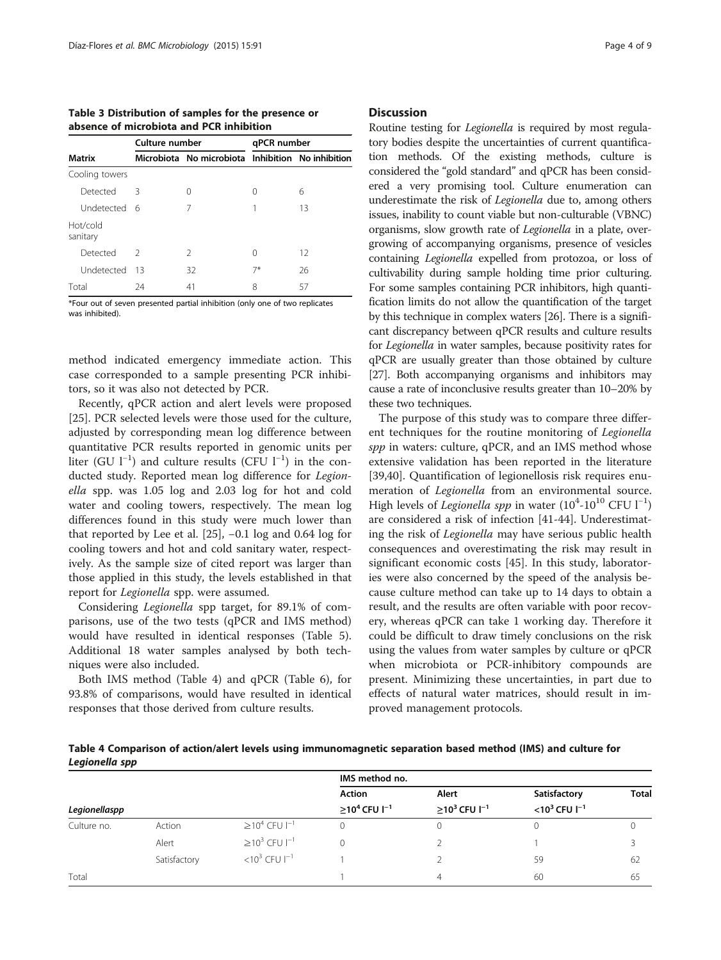<span id="page-3-0"></span>Table 3 Distribution of samples for the presence or absence of microbiota and PCR inhibition

|                      | Culture number |                                                   | qPCR number |    |  |
|----------------------|----------------|---------------------------------------------------|-------------|----|--|
| <b>Matrix</b>        |                | Microbiota No microbiota Inhibition No inhibition |             |    |  |
| Cooling towers       |                |                                                   |             |    |  |
| Detected             | 3              | $\left( \right)$                                  | 0           | 6  |  |
| Undetected 6         |                | 7                                                 |             | 13 |  |
| Hot/cold<br>sanitary |                |                                                   |             |    |  |
| Detected             | 2              | 2                                                 | 0           | 12 |  |
| Undetected           | -13            | 32                                                | $7*$        | 26 |  |
| Total                | 24             | 41                                                | 8           | 57 |  |

\*Four out of seven presented partial inhibition (only one of two replicates was inhibited).

method indicated emergency immediate action. This case corresponded to a sample presenting PCR inhibitors, so it was also not detected by PCR.

Recently, qPCR action and alert levels were proposed [[25\]](#page-8-0). PCR selected levels were those used for the culture, adjusted by corresponding mean log difference between quantitative PCR results reported in genomic units per liter (GU l<sup>-1</sup>) and culture results (CFU l<sup>-1</sup>) in the conducted study. Reported mean log difference for Legionella spp. was 1.05 log and 2.03 log for hot and cold water and cooling towers, respectively. The mean log differences found in this study were much lower than that reported by Lee et al.  $[25]$  $[25]$ ,  $-0.1$  log and 0.64 log for cooling towers and hot and cold sanitary water, respectively. As the sample size of cited report was larger than those applied in this study, the levels established in that report for Legionella spp. were assumed.

Considering Legionella spp target, for 89.1% of comparisons, use of the two tests (qPCR and IMS method) would have resulted in identical responses (Table [5](#page-4-0)). Additional 18 water samples analysed by both techniques were also included.

Both IMS method (Table 4) and qPCR (Table [6](#page-4-0)), for 93.8% of comparisons, would have resulted in identical responses that those derived from culture results.

#### **Discussion**

Routine testing for Legionella is required by most regulatory bodies despite the uncertainties of current quantification methods. Of the existing methods, culture is considered the "gold standard" and qPCR has been considered a very promising tool. Culture enumeration can underestimate the risk of Legionella due to, among others issues, inability to count viable but non-culturable (VBNC) organisms, slow growth rate of Legionella in a plate, overgrowing of accompanying organisms, presence of vesicles containing Legionella expelled from protozoa, or loss of cultivability during sample holding time prior culturing. For some samples containing PCR inhibitors, high quantification limits do not allow the quantification of the target by this technique in complex waters [[26](#page-8-0)]. There is a significant discrepancy between qPCR results and culture results for Legionella in water samples, because positivity rates for qPCR are usually greater than those obtained by culture [[27](#page-8-0)]. Both accompanying organisms and inhibitors may cause a rate of inconclusive results greater than 10–20% by these two techniques.

The purpose of this study was to compare three different techniques for the routine monitoring of Legionella spp in waters: culture, qPCR, and an IMS method whose extensive validation has been reported in the literature [[39,40\]](#page-8-0). Quantification of legionellosis risk requires enumeration of Legionella from an environmental source. High levels of Legionella spp in water  $(10^4$ - $10^{10}$  CFU  $1^{-1}$ ) are considered a risk of infection [[41-44](#page-8-0)]. Underestimating the risk of Legionella may have serious public health consequences and overestimating the risk may result in significant economic costs [[45\]](#page-8-0). In this study, laboratories were also concerned by the speed of the analysis because culture method can take up to 14 days to obtain a result, and the results are often variable with poor recovery, whereas qPCR can take 1 working day. Therefore it could be difficult to draw timely conclusions on the risk using the values from water samples by culture or qPCR when microbiota or PCR-inhibitory compounds are present. Minimizing these uncertainties, in part due to effects of natural water matrices, should result in improved management protocols.

Table 4 Comparison of action/alert levels using immunomagnetic separation based method (IMS) and culture for Legionella spp

| IMS method no. |              |                                         |                                     |                                         |              |              |
|----------------|--------------|-----------------------------------------|-------------------------------------|-----------------------------------------|--------------|--------------|
|                |              |                                         | Action                              | Alert                                   | Satisfactory | <b>Total</b> |
| Legionellaspp  |              | $\geq$ 10 <sup>4</sup> CFU $I^{-1}$     | $\geq$ 10 <sup>3</sup> CFU $I^{-1}$ | $<$ 10 <sup>3</sup> CFU l <sup>-1</sup> |              |              |
| Culture no.    | Action       | $\geq$ 10 <sup>4</sup> CFU $I^{-1}$     | $\Omega$                            |                                         | $\Omega$     |              |
|                | Alert        | $≥10^3$ CFU $I^{-1}$                    |                                     |                                         |              |              |
|                | Satisfactory | $<$ 10 <sup>3</sup> CFU l <sup>-1</sup> |                                     |                                         | 59           | 62           |
| Total          |              |                                         |                                     | 4                                       | 60           | 65           |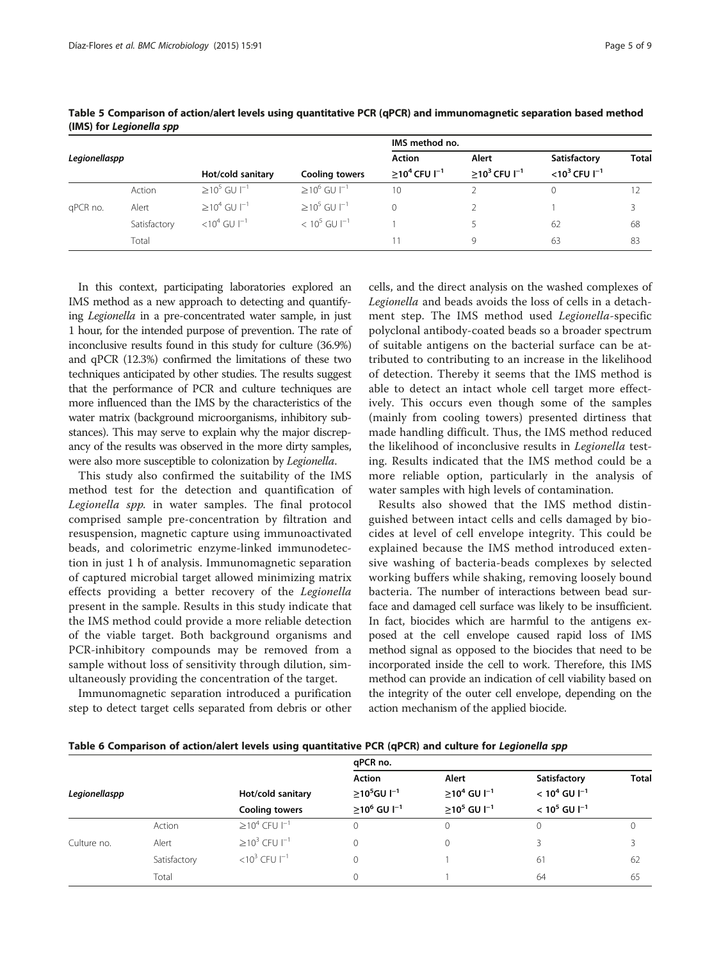|               |              |                                    |                       | IMS method no.                             |                      |                                  |              |
|---------------|--------------|------------------------------------|-----------------------|--------------------------------------------|----------------------|----------------------------------|--------------|
| Legionellaspp |              |                                    |                       | <b>Action</b>                              | Alert                | Satisfactory                     | <b>Total</b> |
|               |              | Hot/cold sanitary                  | <b>Cooling towers</b> | $\geq$ 10 <sup>4</sup> CFU l <sup>-1</sup> | $>10^3$ CFU $I^{-1}$ | $<$ 10 <sup>3</sup> CFU $I^{-1}$ |              |
|               | Action       | $\geq$ 10 <sup>5</sup> GU $I^{-1}$ | $>10^6$ GU $I^{-1}$   | 10                                         |                      | 0                                | 12           |
| gPCR no.      | Alert        | $\geq$ 10 <sup>4</sup> GU $I^{-1}$ | $>10^5$ GU $I^{-1}$   | $\Omega$                                   |                      |                                  |              |
|               | Satisfactory | $< 10^4$ GU $I^{-1}$               | $< 10^5$ GU $I^{-1}$  |                                            |                      | 62                               | 68           |
|               | Total        |                                    |                       |                                            | 9                    | 63                               | 83           |

<span id="page-4-0"></span>Table 5 Comparison of action/alert levels using quantitative PCR (qPCR) and immunomagnetic separation based method (IMS) for Legionella spp

In this context, participating laboratories explored an IMS method as a new approach to detecting and quantifying Legionella in a pre-concentrated water sample, in just 1 hour, for the intended purpose of prevention. The rate of inconclusive results found in this study for culture (36.9%) and qPCR (12.3%) confirmed the limitations of these two techniques anticipated by other studies. The results suggest that the performance of PCR and culture techniques are more influenced than the IMS by the characteristics of the water matrix (background microorganisms, inhibitory substances). This may serve to explain why the major discrepancy of the results was observed in the more dirty samples, were also more susceptible to colonization by Legionella.

This study also confirmed the suitability of the IMS method test for the detection and quantification of Legionella spp. in water samples. The final protocol comprised sample pre-concentration by filtration and resuspension, magnetic capture using immunoactivated beads, and colorimetric enzyme-linked immunodetection in just 1 h of analysis. Immunomagnetic separation of captured microbial target allowed minimizing matrix effects providing a better recovery of the Legionella present in the sample. Results in this study indicate that the IMS method could provide a more reliable detection of the viable target. Both background organisms and PCR-inhibitory compounds may be removed from a sample without loss of sensitivity through dilution, simultaneously providing the concentration of the target.

Immunomagnetic separation introduced a purification step to detect target cells separated from debris or other

cells, and the direct analysis on the washed complexes of Legionella and beads avoids the loss of cells in a detachment step. The IMS method used Legionella-specific polyclonal antibody-coated beads so a broader spectrum of suitable antigens on the bacterial surface can be attributed to contributing to an increase in the likelihood of detection. Thereby it seems that the IMS method is able to detect an intact whole cell target more effectively. This occurs even though some of the samples (mainly from cooling towers) presented dirtiness that made handling difficult. Thus, the IMS method reduced the likelihood of inconclusive results in Legionella testing. Results indicated that the IMS method could be a more reliable option, particularly in the analysis of water samples with high levels of contamination.

Results also showed that the IMS method distinguished between intact cells and cells damaged by biocides at level of cell envelope integrity. This could be explained because the IMS method introduced extensive washing of bacteria-beads complexes by selected working buffers while shaking, removing loosely bound bacteria. The number of interactions between bead surface and damaged cell surface was likely to be insufficient. In fact, biocides which are harmful to the antigens exposed at the cell envelope caused rapid loss of IMS method signal as opposed to the biocides that need to be incorporated inside the cell to work. Therefore, this IMS method can provide an indication of cell viability based on the integrity of the outer cell envelope, depending on the action mechanism of the applied biocide.

| Table 6 Comparison of action/alert levels using quantitative PCR (qPCR) and culture for Legionella spp |  |
|--------------------------------------------------------------------------------------------------------|--|
|                                                                                                        |  |

|               |              |                                     | qPCR no.                                                                                         |                                                                |                                                              |              |
|---------------|--------------|-------------------------------------|--------------------------------------------------------------------------------------------------|----------------------------------------------------------------|--------------------------------------------------------------|--------------|
| Legionellaspp |              | Hot/cold sanitary                   | <b>Action</b><br>$\geq$ 10 <sup>5</sup> GU $I^{-1}$<br>$\geq$ 10 <sup>6</sup> GU I <sup>-1</sup> | Alert<br>$≥104$ GU $I-1$<br>$\geq$ 10 <sup>5</sup> GU $I^{-1}$ | Satisfactory<br>$< 10^4$ GU $I^{-1}$<br>$< 10^5$ GU $I^{-1}$ | <b>Total</b> |
|               |              | <b>Cooling towers</b>               |                                                                                                  |                                                                |                                                              |              |
|               | Action       | $\geq$ 10 <sup>4</sup> CFU $I^{-1}$ | $\mathbf{0}$                                                                                     | 0                                                              | 0                                                            |              |
| Culture no.   | Alert        | $>10^3$ CFU $I^{-1}$                | 0                                                                                                | 0                                                              | 3                                                            |              |
|               | Satisfactory | $<$ 10 <sup>3</sup> CFU $I^{-1}$    | 0                                                                                                |                                                                | 61                                                           | 62           |
|               | Total        |                                     | $\mathbf{0}$                                                                                     |                                                                | 64                                                           | 65           |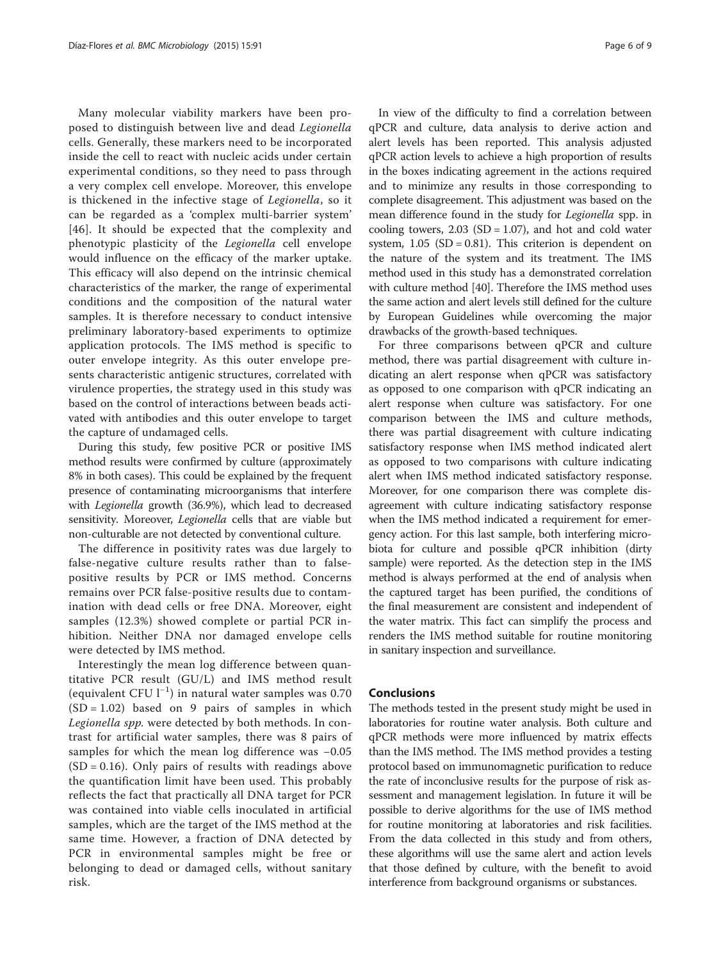Many molecular viability markers have been proposed to distinguish between live and dead Legionella cells. Generally, these markers need to be incorporated inside the cell to react with nucleic acids under certain experimental conditions, so they need to pass through a very complex cell envelope. Moreover, this envelope is thickened in the infective stage of Legionella, so it can be regarded as a 'complex multi-barrier system' [[46](#page-8-0)]. It should be expected that the complexity and phenotypic plasticity of the Legionella cell envelope would influence on the efficacy of the marker uptake. This efficacy will also depend on the intrinsic chemical characteristics of the marker, the range of experimental conditions and the composition of the natural water samples. It is therefore necessary to conduct intensive preliminary laboratory-based experiments to optimize application protocols. The IMS method is specific to outer envelope integrity. As this outer envelope presents characteristic antigenic structures, correlated with virulence properties, the strategy used in this study was based on the control of interactions between beads activated with antibodies and this outer envelope to target the capture of undamaged cells.

During this study, few positive PCR or positive IMS method results were confirmed by culture (approximately 8% in both cases). This could be explained by the frequent presence of contaminating microorganisms that interfere with Legionella growth (36.9%), which lead to decreased sensitivity. Moreover, Legionella cells that are viable but non-culturable are not detected by conventional culture.

The difference in positivity rates was due largely to false-negative culture results rather than to falsepositive results by PCR or IMS method. Concerns remains over PCR false-positive results due to contamination with dead cells or free DNA. Moreover, eight samples (12.3%) showed complete or partial PCR inhibition. Neither DNA nor damaged envelope cells were detected by IMS method.

Interestingly the mean log difference between quantitative PCR result (GU/L) and IMS method result (equivalent CFU l−<sup>1</sup> ) in natural water samples was 0.70  $(SD = 1.02)$  based on 9 pairs of samples in which Legionella spp. were detected by both methods. In contrast for artificial water samples, there was 8 pairs of samples for which the mean log difference was  $-0.05$  $(SD = 0.16)$ . Only pairs of results with readings above the quantification limit have been used. This probably reflects the fact that practically all DNA target for PCR was contained into viable cells inoculated in artificial samples, which are the target of the IMS method at the same time. However, a fraction of DNA detected by PCR in environmental samples might be free or belonging to dead or damaged cells, without sanitary risk.

In view of the difficulty to find a correlation between qPCR and culture, data analysis to derive action and alert levels has been reported. This analysis adjusted qPCR action levels to achieve a high proportion of results in the boxes indicating agreement in the actions required and to minimize any results in those corresponding to complete disagreement. This adjustment was based on the mean difference found in the study for Legionella spp. in cooling towers,  $2.03$  (SD = 1.07), and hot and cold water system,  $1.05$  (SD = 0.81). This criterion is dependent on the nature of the system and its treatment. The IMS method used in this study has a demonstrated correlation with culture method [[40](#page-8-0)]. Therefore the IMS method uses the same action and alert levels still defined for the culture by European Guidelines while overcoming the major drawbacks of the growth-based techniques.

For three comparisons between qPCR and culture method, there was partial disagreement with culture indicating an alert response when qPCR was satisfactory as opposed to one comparison with qPCR indicating an alert response when culture was satisfactory. For one comparison between the IMS and culture methods, there was partial disagreement with culture indicating satisfactory response when IMS method indicated alert as opposed to two comparisons with culture indicating alert when IMS method indicated satisfactory response. Moreover, for one comparison there was complete disagreement with culture indicating satisfactory response when the IMS method indicated a requirement for emergency action. For this last sample, both interfering microbiota for culture and possible qPCR inhibition (dirty sample) were reported. As the detection step in the IMS method is always performed at the end of analysis when the captured target has been purified, the conditions of the final measurement are consistent and independent of the water matrix. This fact can simplify the process and renders the IMS method suitable for routine monitoring in sanitary inspection and surveillance.

#### Conclusions

The methods tested in the present study might be used in laboratories for routine water analysis. Both culture and qPCR methods were more influenced by matrix effects than the IMS method. The IMS method provides a testing protocol based on immunomagnetic purification to reduce the rate of inconclusive results for the purpose of risk assessment and management legislation. In future it will be possible to derive algorithms for the use of IMS method for routine monitoring at laboratories and risk facilities. From the data collected in this study and from others, these algorithms will use the same alert and action levels that those defined by culture, with the benefit to avoid interference from background organisms or substances.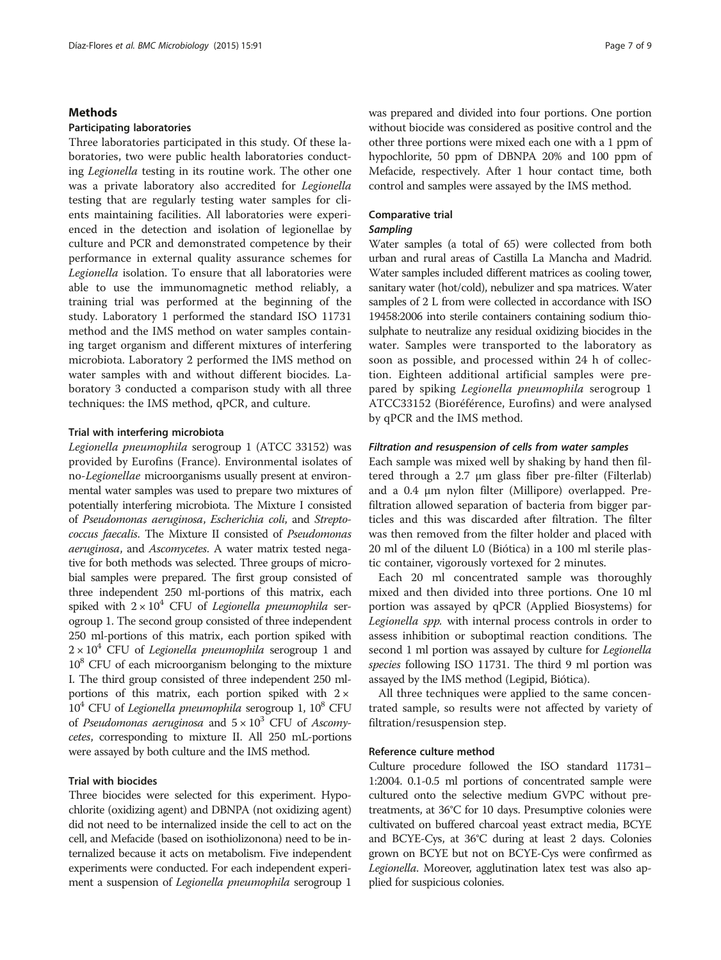#### **Methods**

### Participating laboratories

Three laboratories participated in this study. Of these laboratories, two were public health laboratories conducting Legionella testing in its routine work. The other one was a private laboratory also accredited for Legionella testing that are regularly testing water samples for clients maintaining facilities. All laboratories were experienced in the detection and isolation of legionellae by culture and PCR and demonstrated competence by their performance in external quality assurance schemes for Legionella isolation. To ensure that all laboratories were able to use the immunomagnetic method reliably, a training trial was performed at the beginning of the study. Laboratory 1 performed the standard ISO 11731 method and the IMS method on water samples containing target organism and different mixtures of interfering microbiota. Laboratory 2 performed the IMS method on water samples with and without different biocides. Laboratory 3 conducted a comparison study with all three techniques: the IMS method, qPCR, and culture.

#### Trial with interfering microbiota

Legionella pneumophila serogroup 1 (ATCC 33152) was provided by Eurofins (France). Environmental isolates of no-Legionellae microorganisms usually present at environmental water samples was used to prepare two mixtures of potentially interfering microbiota. The Mixture I consisted of Pseudomonas aeruginosa, Escherichia coli, and Streptococcus faecalis. The Mixture II consisted of Pseudomonas aeruginosa, and Ascomycetes. A water matrix tested negative for both methods was selected. Three groups of microbial samples were prepared. The first group consisted of three independent 250 ml-portions of this matrix, each spiked with  $2 \times 10^4$  CFU of *Legionella pneumophila* serogroup 1. The second group consisted of three independent 250 ml-portions of this matrix, each portion spiked with  $2 \times 10^4$  CFU of Legionella pneumophila serogroup 1 and  $10<sup>8</sup>$  CFU of each microorganism belonging to the mixture I. The third group consisted of three independent 250 mlportions of this matrix, each portion spiked with  $2 \times$  $10^4$  CFU of Legionella pneumophila serogroup 1,  $10^8$  CFU of Pseudomonas aeruginosa and  $5 \times 10^3$  CFU of Ascomycetes, corresponding to mixture II. All 250 mL-portions were assayed by both culture and the IMS method.

### Trial with biocides

Three biocides were selected for this experiment. Hypochlorite (oxidizing agent) and DBNPA (not oxidizing agent) did not need to be internalized inside the cell to act on the cell, and Mefacide (based on isothiolizonona) need to be internalized because it acts on metabolism. Five independent experiments were conducted. For each independent experiment a suspension of Legionella pneumophila serogroup 1

was prepared and divided into four portions. One portion without biocide was considered as positive control and the other three portions were mixed each one with a 1 ppm of hypochlorite, 50 ppm of DBNPA 20% and 100 ppm of Mefacide, respectively. After 1 hour contact time, both control and samples were assayed by the IMS method.

#### Comparative trial

# Sampling

Water samples (a total of 65) were collected from both urban and rural areas of Castilla La Mancha and Madrid. Water samples included different matrices as cooling tower, sanitary water (hot/cold), nebulizer and spa matrices. Water samples of 2 L from were collected in accordance with ISO 19458:2006 into sterile containers containing sodium thiosulphate to neutralize any residual oxidizing biocides in the water. Samples were transported to the laboratory as soon as possible, and processed within 24 h of collection. Eighteen additional artificial samples were prepared by spiking Legionella pneumophila serogroup 1 ATCC33152 (Bioréférence, Eurofins) and were analysed by qPCR and the IMS method.

#### Filtration and resuspension of cells from water samples

Each sample was mixed well by shaking by hand then filtered through a 2.7 μm glass fiber pre-filter (Filterlab) and a 0.4 μm nylon filter (Millipore) overlapped. Prefiltration allowed separation of bacteria from bigger particles and this was discarded after filtration. The filter was then removed from the filter holder and placed with 20 ml of the diluent L0 (Biótica) in a 100 ml sterile plastic container, vigorously vortexed for 2 minutes.

Each 20 ml concentrated sample was thoroughly mixed and then divided into three portions. One 10 ml portion was assayed by qPCR (Applied Biosystems) for Legionella spp. with internal process controls in order to assess inhibition or suboptimal reaction conditions. The second 1 ml portion was assayed by culture for Legionella species following ISO 11731. The third 9 ml portion was assayed by the IMS method (Legipid, Biótica).

All three techniques were applied to the same concentrated sample, so results were not affected by variety of filtration/resuspension step.

#### Reference culture method

Culture procedure followed the ISO standard 11731– 1:2004. 0.1-0.5 ml portions of concentrated sample were cultured onto the selective medium GVPC without pretreatments, at 36°C for 10 days. Presumptive colonies were cultivated on buffered charcoal yeast extract media, BCYE and BCYE-Cys, at 36°C during at least 2 days. Colonies grown on BCYE but not on BCYE-Cys were confirmed as Legionella. Moreover, agglutination latex test was also applied for suspicious colonies.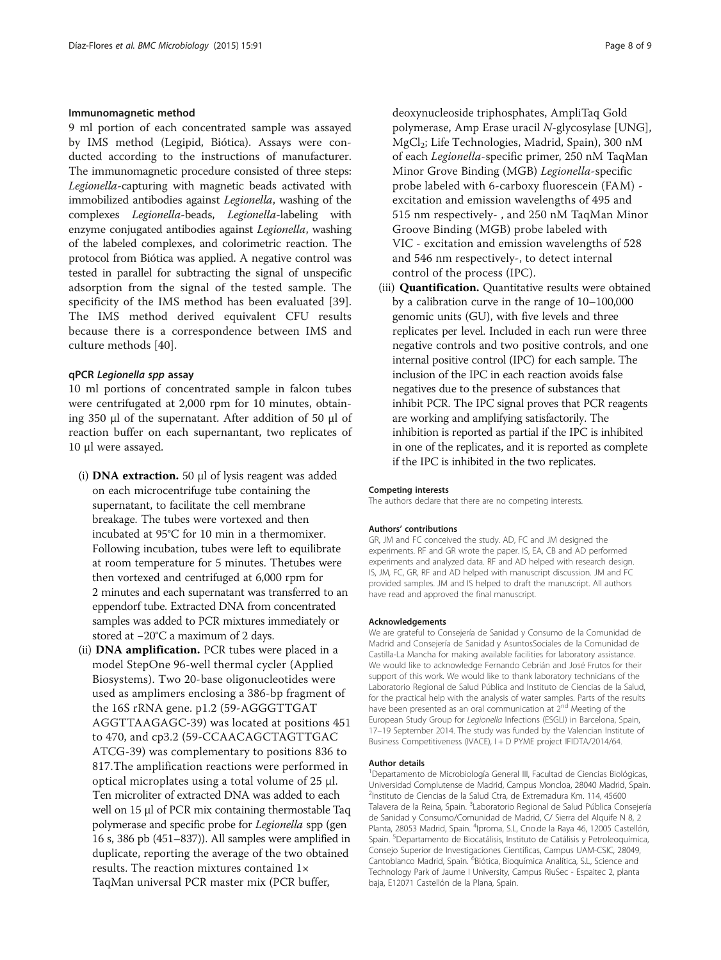#### Immunomagnetic method

9 ml portion of each concentrated sample was assayed by IMS method (Legipid, Biótica). Assays were conducted according to the instructions of manufacturer. The immunomagnetic procedure consisted of three steps: Legionella-capturing with magnetic beads activated with immobilized antibodies against Legionella, washing of the complexes Legionella-beads, Legionella-labeling with enzyme conjugated antibodies against Legionella, washing of the labeled complexes, and colorimetric reaction. The protocol from Biótica was applied. A negative control was tested in parallel for subtracting the signal of unspecific adsorption from the signal of the tested sample. The specificity of the IMS method has been evaluated [[39](#page-8-0)]. The IMS method derived equivalent CFU results because there is a correspondence between IMS and culture methods [[40\]](#page-8-0).

#### qPCR Legionella spp assay

10 ml portions of concentrated sample in falcon tubes were centrifugated at 2,000 rpm for 10 minutes, obtaining 350 μl of the supernatant. After addition of 50 μl of reaction buffer on each supernantant, two replicates of 10 μl were assayed.

- (i) DNA extraction. 50 μl of lysis reagent was added on each microcentrifuge tube containing the supernatant, to facilitate the cell membrane breakage. The tubes were vortexed and then incubated at 95°C for 10 min in a thermomixer. Following incubation, tubes were left to equilibrate at room temperature for 5 minutes. Thetubes were then vortexed and centrifuged at 6,000 rpm for 2 minutes and each supernatant was transferred to an eppendorf tube. Extracted DNA from concentrated samples was added to PCR mixtures immediately or stored at −20°C a maximum of 2 days.
- (ii) **DNA amplification.** PCR tubes were placed in a model StepOne 96-well thermal cycler (Applied Biosystems). Two 20-base oligonucleotides were used as amplimers enclosing a 386-bp fragment of the 16S rRNA gene. p1.2 (59-AGGGTTGAT AGGTTAAGAGC-39) was located at positions 451 to 470, and cp3.2 (59-CCAACAGCTAGTTGAC ATCG-39) was complementary to positions 836 to 817.The amplification reactions were performed in optical microplates using a total volume of 25 μl. Ten microliter of extracted DNA was added to each well on 15 μl of PCR mix containing thermostable Taq polymerase and specific probe for Legionella spp (gen 16 s, 386 pb (451–837)). All samples were amplified in duplicate, reporting the average of the two obtained results. The reaction mixtures contained 1× TaqMan universal PCR master mix (PCR buffer,

deoxynucleoside triphosphates, AmpliTaq Gold polymerase, Amp Erase uracil N-glycosylase [UNG], MgCl2; Life Technologies, Madrid, Spain), 300 nM of each Legionella-specific primer, 250 nM TaqMan Minor Grove Binding (MGB) Legionella-specific probe labeled with 6-carboxy fluorescein (FAM) excitation and emission wavelengths of 495 and 515 nm respectively- , and 250 nM TaqMan Minor Groove Binding (MGB) probe labeled with VIC - excitation and emission wavelengths of 528 and 546 nm respectively-, to detect internal control of the process (IPC).

(iii) **Quantification.** Quantitative results were obtained by a calibration curve in the range of 10–100,000 genomic units (GU), with five levels and three replicates per level. Included in each run were three negative controls and two positive controls, and one internal positive control (IPC) for each sample. The inclusion of the IPC in each reaction avoids false negatives due to the presence of substances that inhibit PCR. The IPC signal proves that PCR reagents are working and amplifying satisfactorily. The inhibition is reported as partial if the IPC is inhibited in one of the replicates, and it is reported as complete if the IPC is inhibited in the two replicates.

#### Competing interests

The authors declare that there are no competing interests.

#### Authors' contributions

GR, JM and FC conceived the study. AD, FC and JM designed the experiments. RF and GR wrote the paper. IS, EA, CB and AD performed experiments and analyzed data. RF and AD helped with research design. IS, JM, FC, GR, RF and AD helped with manuscript discussion. JM and FC provided samples. JM and IS helped to draft the manuscript. All authors have read and approved the final manuscript.

#### Acknowledgements

We are grateful to Consejería de Sanidad y Consumo de la Comunidad de Madrid and Consejería de Sanidad y AsuntosSociales de la Comunidad de Castilla-La Mancha for making available facilities for laboratory assistance. We would like to acknowledge Fernando Cebrián and José Frutos for their support of this work. We would like to thank laboratory technicians of the Laboratorio Regional de Salud Pública and Instituto de Ciencias de la Salud, for the practical help with the analysis of water samples. Parts of the results have been presented as an oral communication at 2<sup>nd</sup> Meeting of the European Study Group for Legionella Infections (ESGLI) in Barcelona, Spain, 17–19 September 2014. The study was funded by the Valencian Institute of Business Competitiveness (IVACE), I + D PYME project IFIDTA/2014/64.

#### Author details

1 Departamento de Microbiología General III, Facultad de Ciencias Biológicas, Universidad Complutense de Madrid, Campus Moncloa, 28040 Madrid, Spain. 2 Instituto de Ciencias de la Salud Ctra, de Extremadura Km. 114, 45600 Talavera de la Reina, Spain. <sup>3</sup> Laboratorio Regional de Salud Pública Consejería de Sanidad y Consumo/Comunidad de Madrid, C/ Sierra del Alquife N 8, 2 Planta, 28053 Madrid, Spain. <sup>4</sup>Iproma, S.L, Cno.de la Raya 46, 12005 Castellón Spain. <sup>5</sup>Departamento de Biocatálisis, Instituto de Catálisis y Petroleoquímica Consejo Superior de Investigaciones Científicas, Campus UAM-CSIC, 28049, Cantoblanco Madrid, Spain. <sup>6</sup>Biótica, Bioquímica Analítica, S.L, Science and Technology Park of Jaume I University, Campus RiuSec - Espaitec 2, planta baja, E12071 Castellón de la Plana, Spain.